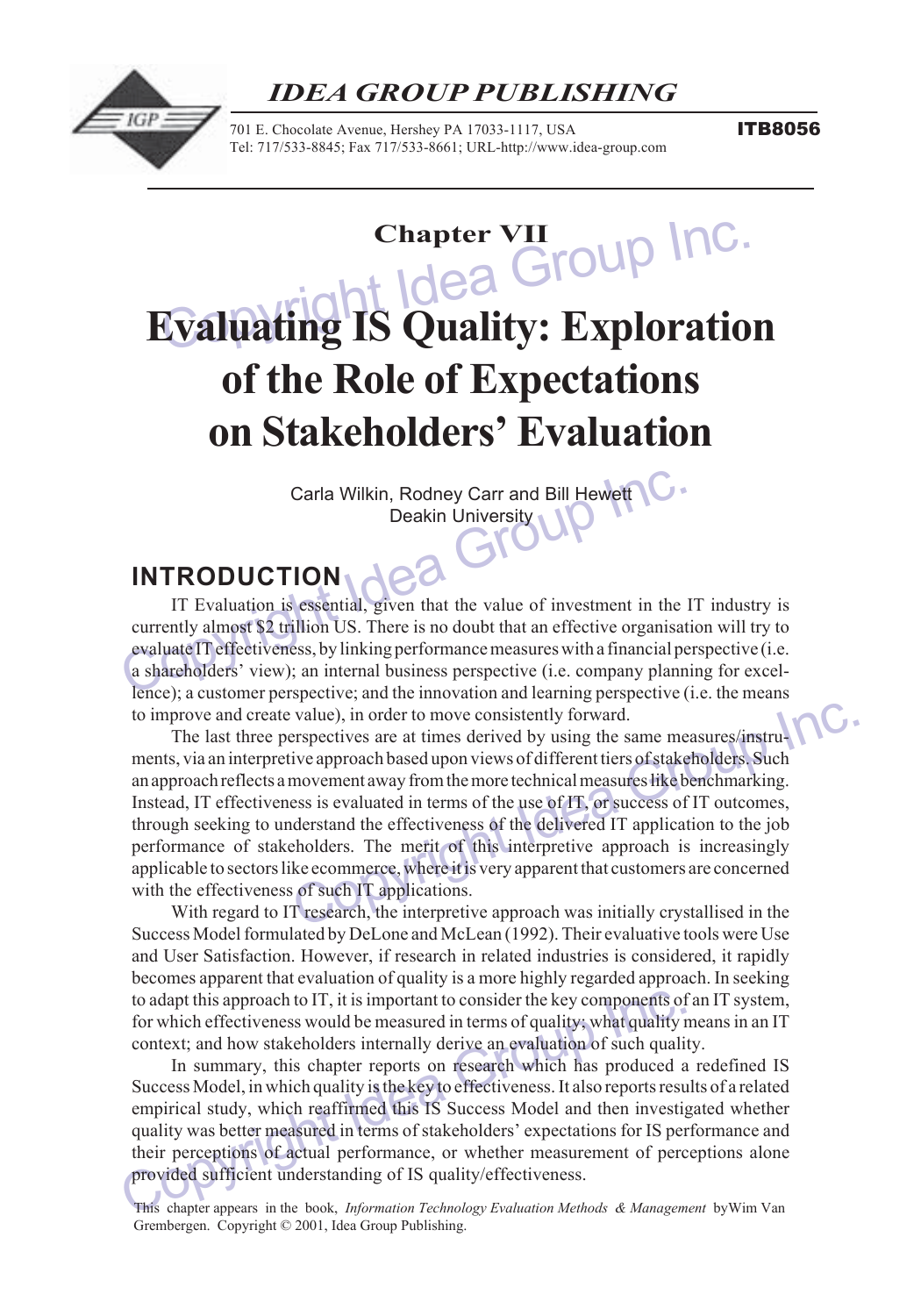### *IDEA GROUP PUBLISHING*



ITB8056

# **Chapter VII<br>
<b>Chapter CIP Inc.**<br> **Chapter CIP Inc.**<br> **Chapter CIP Inc. Evaluating IS Quality: Exploration**

# **of the Role of Expectations on Stakeholders' Evaluation**

Carla Wilkin, Rodney Carr and Bill Hewett Deakin University

# **INTRODUCTION**

 $IGP$ 

Carla Wilkin, Rodney Carr and Bill Hewett<br>Deakin University<br>Deakin University<br>INTRODUCTION<br>IT Evaluation is essential, given that the value of investment in the<br>currently almost \$2 trillion US. There is no doubt that an ef IT Evaluation is essential, given that the value of investment in the IT industry is currently almost \$2 trillion US. There is no doubt that an effective organisation will try to evaluate IT effectiveness, by linking performance measures with a financial perspective (i.e. a shareholders' view); an internal business perspective (i.e. company planning for excellence); a customer perspective; and the innovation and learning perspective (i.e. the means to improve and create value), in order to move consistently forward.

value), in order to move consistently forward.<br>
erspectives are at times derived by using the same measures/instru-<br>
ive approach based upon views of different tiers of stakeholders. Such<br>
movement away from the more techn The last three perspectives are at times derived by using the same measures/instruments, via an interpretive approach based upon views of different tiers of stakeholders. Such an approach reflects a movement away from the more technical measures like benchmarking. Instead, IT effectiveness is evaluated in terms of the use of IT, or success of IT outcomes, through seeking to understand the effectiveness of the delivered IT application to the job performance of stakeholders. The merit of this interpretive approach is increasingly applicable to sectors like ecommerce, where it is very apparent that customers are concerned with the effectiveness of such IT applications.

With regard to IT research, the interpretive approach was initially crystallised in the Success Model formulated by DeLone and McLean (1992). Their evaluative tools were Use and User Satisfaction. However, if research in related industries is considered, it rapidly becomes apparent that evaluation of quality is a more highly regarded approach. In seeking to adapt this approach to IT, it is important to consider the key components of an IT system, for which effectiveness would be measured in terms of quality; what quality means in an IT context; and how stakeholders internally derive an evaluation of such quality.

to adapt this approach to IT, it is important to consider the key components of<br>for which effectiveness would be measured in terms of quality; what quality i<br>context; and how stakeholders internally derive an evaluation of In summary, this chapter reports on research which has produced a redefined IS Success Model, in which quality is the key to effectiveness. It also reports results of a related empirical study, which reaffirmed this IS Success Model and then investigated whether quality was better measured in terms of stakeholdersí expectations for IS performance and their perceptions of actual performance, or whether measurement of perceptions alone provided sufficient understanding of IS quality/effectiveness.

This chapter appears in the book, *Information Technology Evaluation Methods & Management* byWim Van Grembergen. Copyright © 2001, Idea Group Publishing.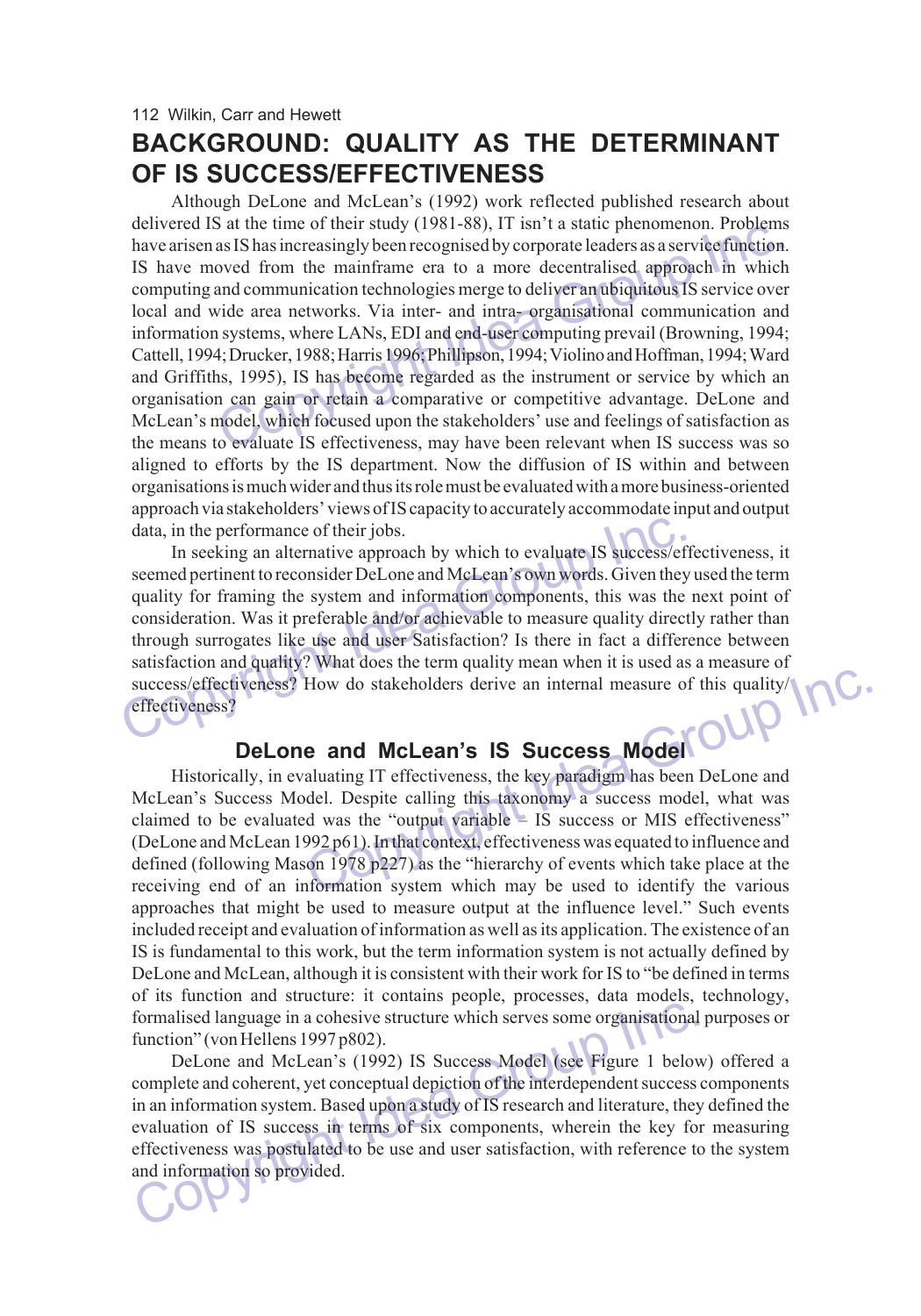## **BACKGROUND: QUALITY AS THE DETERMINANT OF IS SUCCESS/EFFECTIVENESS**

For all the time of their study (1981-88), 11 ISBN 1 a static phenometron. Problems<br>as IS has increasingly been recognised by corporate leaders as a service function<br>oved from the mainframe era to a more decentralised appr Although DeLone and McLean's (1992) work reflected published research about delivered IS at the time of their study (1981-88), IT isn't a static phenomenon. Problems have arisen as IS has increasingly been recognised by corporate leaders as a service function. IS have moved from the mainframe era to a more decentralised approach in which computing and communication technologies merge to deliver an ubiquitous IS service over local and wide area networks. Via inter- and intra- organisational communication and information systems, where LANs, EDI and end-user computing prevail (Browning, 1994; Cattell, 1994; Drucker, 1988; Harris 1996; Phillipson, 1994; Violino and Hoffman, 1994; Ward and Griffiths, 1995), IS has become regarded as the instrument or service by which an organisation can gain or retain a comparative or competitive advantage. DeLone and McLean's model, which focused upon the stakeholders' use and feelings of satisfaction as the means to evaluate IS effectiveness, may have been relevant when IS success was so aligned to efforts by the IS department. Now the diffusion of IS within and between organisations is much wider and thus its role must be evaluated with a more business-oriented approach via stakeholders' views of IS capacity to accurately accommodate input and output data, in the performance of their jobs.

The set of their jobs.<br>
In seeking an alternative approach by which to evaluate IS success/ef<br>
seemed pertinent to reconsider DeLone and McLean's own words. Given they<br>
quality for framing the system and information compon In seeking an alternative approach by which to evaluate IS success/effectiveness, it seemed pertinent to reconsider DeLone and McLean's own words. Given they used the term quality for framing the system and information components, this was the next point of consideration. Was it preferable and/or achievable to measure quality directly rather than through surrogates like use and user Satisfaction? Is there in fact a difference between satisfaction and quality? What does the term quality mean when it is used as a measure of effectiveness?

#### **DeLone and McLeanís IS Success Model**

Success/effectiveness? How do stakeholders derive an internal measure of this quality/<br>
effectiveness?<br> **DeLone and McLean's IS Success Model**<br>
Historically, in evaluating IT effectiveness, the key paradigm has been DeLone Historically, in evaluating IT effectiveness, the key paradigm has been DeLone and McLeanís Success Model. Despite calling this taxonomy a success model, what was claimed to be evaluated was the "output variable  $-$  IS success or MIS effectiveness" (DeLone and McLean 1992 p61). In that context, effectiveness was equated to influence and defined (following Mason 1978 p227) as the "hierarchy of events which take place at the receiving end of an information system which may be used to identify the various approaches that might be used to measure output at the influence level." Such events included receipt and evaluation of information as well as its application. The existence of an IS is fundamental to this work, but the term information system is not actually defined by DeLone and McLean, although it is consistent with their work for IS to "be defined in terms of its function and structure: it contains people, processes, data models, technology, formalised language in a cohesive structure which serves some organisational purposes or function" (von Hellens 1997 p802).

formalised language in a cohesive structure which serves some organisational<br>function" (von Hellens 1997 p802).<br>DeLone and McLean's (1992) IS Success Model (see Figure 1 belove<br>complete and coherent, yet conceptual depicti DeLone and McLean's (1992) IS Success Model (see Figure 1 below) offered a complete and coherent, yet conceptual depiction of the interdependent success components in an information system. Based upon a study of IS research and literature, they defined the evaluation of IS success in terms of six components, wherein the key for measuring effectiveness was postulated to be use and user satisfaction, with reference to the system and information so provided.